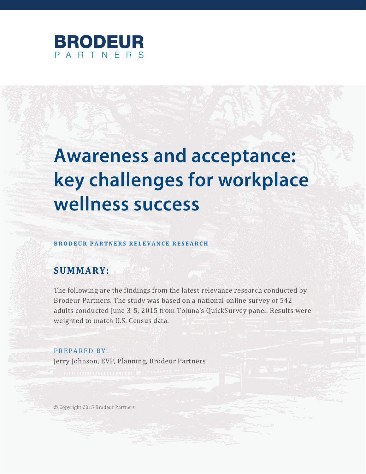

# **Awareness and acceptance:** key challenges for workplace wellness success

#### **BRODEUR PARTNERS RELEVANCE RESEARCH**

### **SUMMARY:**

The following are the findings from the latest relevance research conducted by Brodeur Partners. The study was based on a national online survey of 542 adults conducted June 3-5, 2015 from Toluna's QuickSurvey panel. Results were weighted to match U.S. Census data.

PREPARED BY: Jerry Johnson, EVP, Planning, Brodeur Partners

© Copyright 2015 Brodeur Partners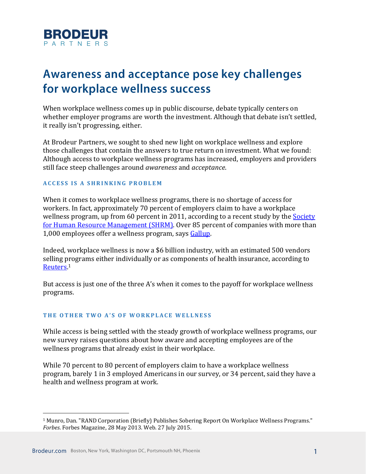

## **Awareness and acceptance pose key challenges** for workplace wellness success

When workplace wellness comes up in public discourse, debate typically centers on whether employer programs are worth the investment. Although that debate isn't settled, it really isn't progressing, either.

At Brodeur Partners, we sought to shed new light on workplace wellness and explore those challenges that contain the answers to true return on investment. What we found: Although access to workplace wellness programs has increased, employers and providers still face steep challenges around *awareness* and *acceptance*.

#### **ACCESS IS A SHRINKING PROBLEM**

When it comes to workplace wellness programs, there is no shortage of access for workers. In fact, approximately 70 percent of employers claim to have a workplace wellness program, up from 60 percent in 2011, according to a recent study by the Society [for Human Resource Management](http://www.shrm.org/Research/SurveyFindings/Articles/Documents/2015-Employee-Benefits.pdf) (SHRM). Over 85 percent of companies with more than 1,000 employees offer a wellness program, says [Gallup.](http://www.gallup.com/businessjournal/168995/why-workplace-wellness-program-isn-working.aspx)

Indeed, workplace wellness is now a \$6 billion industry, with an estimated 500 vendors selling programs either individually or as components of health insurance, according to [Reuters.](http://www.reuters.com/article/2013/05/24/us-wellness-idUSBRE94N0XX20130524)<sup>1</sup>

But access is just one of the three A's when it comes to the payoff for workplace wellness programs.

#### **T H E O T H E R T W O A' S O F W O R K P L A C E W E L L N E S S**

While access is being settled with the steady growth of workplace wellness programs, our new survey raises questions about how aware and accepting employees are of the wellness programs that already exist in their workplace.

While 70 percent to 80 percent of employers claim to have a workplace wellness program, barely 1 in 3 employed Americans in our survey, or 34 percent, said they have a health and wellness program at work.

<sup>1</sup> Munro, Dan. "RAND Corporation (Briefly) Publishes Sobering Report On Workplace Wellness Programs." *Forbes*. Forbes Magazine, 28 May 2013. Web. 27 July 2015.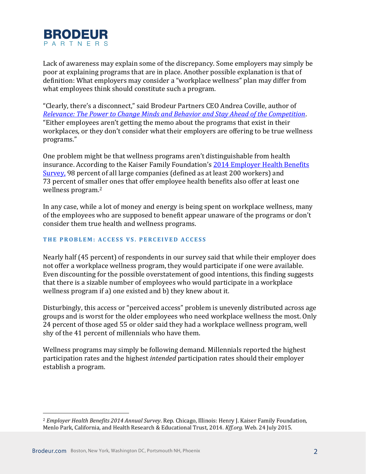

Lack of awareness may explain some of the discrepancy. Some employers may simply be poor at explaining programs that are in place. Another possible explanation is that of definition: What employers may consider a "workplace wellness" plan may differ from what employees think should constitute such a program.

"Clearly, there's a disconnect," said Brodeur Partners CEO Andrea Coville, author of *[Relevance: The Power to Change Minds and Behavior and Stay Ahead of the Competition](http://relevance.brodeur.com/)*. "Either employees aren't getting the memo about the programs that exist in their workplaces, or they don't consider what their employers are offering to be true wellness programs."

One problem might be that wellness programs aren't distinguishable from health insurance. According to the Kaiser Family Foundation's [2014 Employer Health Benefits](http://files.kff.org/attachment/2014-employer-health-benefits-survey-full-report)  [Survey,](http://files.kff.org/attachment/2014-employer-health-benefits-survey-full-report) 98 percent of all large companies (defined as at least 200 workers) and 73 percent of smaller ones that offer employee health benefits also offer at least one wellness program.<sup>2</sup>

In any case, while a lot of money and energy is being spent on workplace wellness, many of the employees who are supposed to benefit appear unaware of the programs or don't consider them true health and wellness programs.

#### **THE PROBLEM: ACCESS VS. PERCEIVED ACCESS**

Nearly half (45 percent) of respondents in our survey said that while their employer does not offer a workplace wellness program, they would participate if one were available. Even discounting for the possible overstatement of good intentions, this finding suggests that there is a sizable number of employees who would participate in a workplace wellness program if a) one existed and b) they knew about it.

Disturbingly, this access or "perceived access" problem is unevenly distributed across age groups and is worst for the older employees who need workplace wellness the most. Only 24 percent of those aged 55 or older said they had a workplace wellness program, well shy of the 41 percent of millennials who have them.

Wellness programs may simply be following demand. Millennials reported the highest participation rates and the highest *intended* participation rates should their employer establish a program.

<sup>2</sup> *Employer Health Benefits 2014 Annual Survey*. Rep. Chicago, Illinois: Henry J. Kaiser Family Foundation, Menlo Park, California, and Health Research & Educational Trust, 2014. *Kff.org*. Web. 24 July 2015.